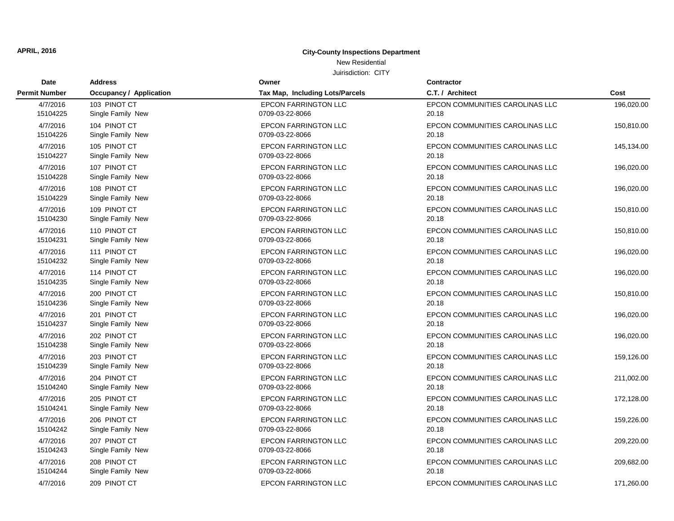## New Residential

| <b>Date</b>          | <b>Address</b>          | Owner                           | <b>Contractor</b>               |            |
|----------------------|-------------------------|---------------------------------|---------------------------------|------------|
| <b>Permit Number</b> | Occupancy / Application | Tax Map, Including Lots/Parcels | C.T. / Architect                | Cost       |
| 4/7/2016             | 103 PINOT CT            | <b>EPCON FARRINGTON LLC</b>     | EPCON COMMUNITIES CAROLINAS LLC | 196,020.00 |
| 15104225             | Single Family New       | 0709-03-22-8066                 | 20.18                           |            |
| 4/7/2016             | 104 PINOT CT            | <b>EPCON FARRINGTON LLC</b>     | EPCON COMMUNITIES CAROLINAS LLC | 150,810.00 |
| 15104226             | Single Family New       | 0709-03-22-8066                 | 20.18                           |            |
| 4/7/2016             | 105 PINOT CT            | <b>EPCON FARRINGTON LLC</b>     | EPCON COMMUNITIES CAROLINAS LLC | 145,134.00 |
| 15104227             | Single Family New       | 0709-03-22-8066                 | 20.18                           |            |
| 4/7/2016             | 107 PINOT CT            | <b>EPCON FARRINGTON LLC</b>     | EPCON COMMUNITIES CAROLINAS LLC | 196,020.00 |
| 15104228             | Single Family New       | 0709-03-22-8066                 | 20.18                           |            |
| 4/7/2016             | 108 PINOT CT            | <b>EPCON FARRINGTON LLC</b>     | EPCON COMMUNITIES CAROLINAS LLC | 196,020.00 |
| 15104229             | Single Family New       | 0709-03-22-8066                 | 20.18                           |            |
| 4/7/2016             | 109 PINOT CT            | <b>EPCON FARRINGTON LLC</b>     | EPCON COMMUNITIES CAROLINAS LLC | 150,810.00 |
| 15104230             | Single Family New       | 0709-03-22-8066                 | 20.18                           |            |
| 4/7/2016             | 110 PINOT CT            | <b>EPCON FARRINGTON LLC</b>     | EPCON COMMUNITIES CAROLINAS LLC | 150,810.00 |
| 15104231             | Single Family New       | 0709-03-22-8066                 | 20.18                           |            |
| 4/7/2016             | 111 PINOT CT            | <b>EPCON FARRINGTON LLC</b>     | EPCON COMMUNITIES CAROLINAS LLC | 196,020.00 |
| 15104232             | Single Family New       | 0709-03-22-8066                 | 20.18                           |            |
| 4/7/2016             | 114 PINOT CT            | <b>EPCON FARRINGTON LLC</b>     | EPCON COMMUNITIES CAROLINAS LLC | 196,020.00 |
| 15104235             | Single Family New       | 0709-03-22-8066                 | 20.18                           |            |
| 4/7/2016             | 200 PINOT CT            | <b>EPCON FARRINGTON LLC</b>     | EPCON COMMUNITIES CAROLINAS LLC | 150,810.00 |
| 15104236             | Single Family New       | 0709-03-22-8066                 | 20.18                           |            |
| 4/7/2016             | 201 PINOT CT            | <b>EPCON FARRINGTON LLC</b>     | EPCON COMMUNITIES CAROLINAS LLC | 196,020.00 |
| 15104237             | Single Family New       | 0709-03-22-8066                 | 20.18                           |            |
| 4/7/2016             | 202 PINOT CT            | <b>EPCON FARRINGTON LLC</b>     | EPCON COMMUNITIES CAROLINAS LLC | 196,020.00 |
| 15104238             | Single Family New       | 0709-03-22-8066                 | 20.18                           |            |
| 4/7/2016             | 203 PINOT CT            | <b>EPCON FARRINGTON LLC</b>     | EPCON COMMUNITIES CAROLINAS LLC | 159,126.00 |
| 15104239             | Single Family New       | 0709-03-22-8066                 | 20.18                           |            |
| 4/7/2016             | 204 PINOT CT            | <b>EPCON FARRINGTON LLC</b>     | EPCON COMMUNITIES CAROLINAS LLC | 211,002.00 |
| 15104240             | Single Family New       | 0709-03-22-8066                 | 20.18                           |            |
| 4/7/2016             | 205 PINOT CT            | <b>EPCON FARRINGTON LLC</b>     | EPCON COMMUNITIES CAROLINAS LLC | 172,128.00 |
| 15104241             | Single Family New       | 0709-03-22-8066                 | 20.18                           |            |
| 4/7/2016             | 206 PINOT CT            | <b>EPCON FARRINGTON LLC</b>     | EPCON COMMUNITIES CAROLINAS LLC | 159,226.00 |
| 15104242             | Single Family New       | 0709-03-22-8066                 | 20.18                           |            |
| 4/7/2016             | 207 PINOT CT            | <b>EPCON FARRINGTON LLC</b>     | EPCON COMMUNITIES CAROLINAS LLC | 209,220.00 |
| 15104243             | Single Family New       | 0709-03-22-8066                 | 20.18                           |            |
| 4/7/2016             | 208 PINOT CT            | <b>EPCON FARRINGTON LLC</b>     | EPCON COMMUNITIES CAROLINAS LLC | 209,682.00 |
| 15104244             | Single Family New       | 0709-03-22-8066                 | 20.18                           |            |
| 4/7/2016             | 209 PINOT CT            | <b>EPCON FARRINGTON LLC</b>     | EPCON COMMUNITIES CAROLINAS LLC | 171,260.00 |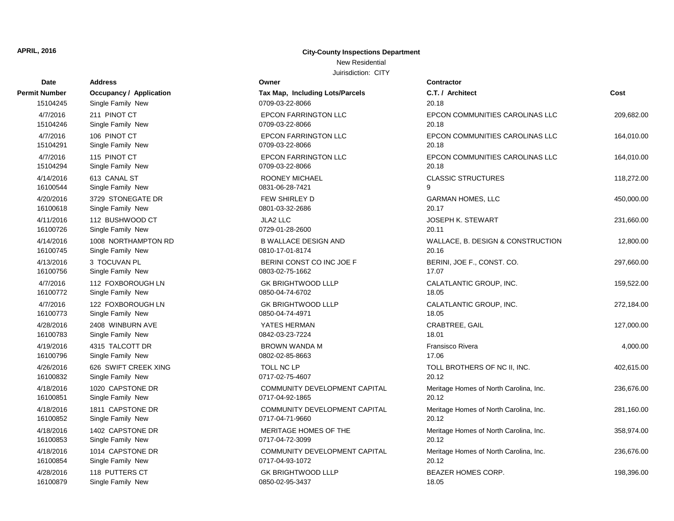## New Residential

| Date                 | Address                        | Owner                                          | Contractor                               |            |
|----------------------|--------------------------------|------------------------------------------------|------------------------------------------|------------|
| Permit Number        | <b>Occupancy / Application</b> | Tax Map, Including Lots/Parcels                | C.T. / Architect                         | Cost       |
| 15104245             | Single Family New              | 0709-03-22-8066                                | 20.18                                    |            |
| 4/7/2016<br>15104246 | 211 PINOT CT                   | <b>EPCON FARRINGTON LLC</b><br>0709-03-22-8066 | EPCON COMMUNITIES CAROLINAS LLC<br>20.18 | 209,682.00 |
|                      | Single Family New              |                                                |                                          |            |
| 4/7/2016             | 106 PINOT CT                   | <b>EPCON FARRINGTON LLC</b>                    | EPCON COMMUNITIES CAROLINAS LLC          | 164,010.00 |
| 15104291             | Single Family New              | 0709-03-22-8066                                | 20.18                                    |            |
| 4/7/2016             | 115 PINOT CT                   | <b>EPCON FARRINGTON LLC</b>                    | EPCON COMMUNITIES CAROLINAS LLC          | 164,010.00 |
| 15104294             | Single Family New              | 0709-03-22-8066                                | 20.18                                    |            |
| 4/14/2016            | 613 CANAL ST                   | ROONEY MICHAEL                                 | <b>CLASSIC STRUCTURES</b>                | 118,272.00 |
| 16100544             | Single Family New              | 0831-06-28-7421                                | 9                                        |            |
| 4/20/2016            | 3729 STONEGATE DR              | FEW SHIRLEY D                                  | <b>GARMAN HOMES, LLC</b>                 | 450,000.00 |
| 16100618             | Single Family New              | 0801-03-32-2686                                | 20.17                                    |            |
| 4/11/2016            | 112 BUSHWOOD CT                | JLA2 LLC                                       | <b>JOSEPH K. STEWART</b>                 | 231,660.00 |
| 16100726             | Single Family New              | 0729-01-28-2600                                | 20.11                                    |            |
| 4/14/2016            | 1008 NORTHAMPTON RD            | <b>B WALLACE DESIGN AND</b>                    | WALLACE, B. DESIGN & CONSTRUCTION        | 12,800.00  |
| 16100745             | Single Family New              | 0810-17-01-8174                                | 20.16                                    |            |
| 4/13/2016            | 3 TOCUVAN PL                   | BERINI CONST CO INC JOE F                      | BERINI, JOE F., CONST. CO.               | 297,660.00 |
| 16100756             | Single Family New              | 0803-02-75-1662                                | 17.07                                    |            |
| 4/7/2016             | 112 FOXBOROUGH LN              | <b>GK BRIGHTWOOD LLLP</b>                      | CALATLANTIC GROUP, INC.                  | 159,522.00 |
| 16100772             | Single Family New              | 0850-04-74-6702                                | 18.05                                    |            |
| 4/7/2016             | 122 FOXBOROUGH LN              | <b>GK BRIGHTWOOD LLLP</b>                      | CALATLANTIC GROUP, INC.                  | 272,184.00 |
| 16100773             | Single Family New              | 0850-04-74-4971                                | 18.05                                    |            |
| 4/28/2016            | 2408 WINBURN AVE               | YATES HERMAN                                   | CRABTREE, GAIL                           | 127,000.00 |
| 16100783             | Single Family New              | 0842-03-23-7224                                | 18.01                                    |            |
| 4/19/2016            | 4315 TALCOTT DR                | <b>BROWN WANDA M</b>                           | Fransisco Rivera                         | 4,000.00   |
| 16100796             | Single Family New              | 0802-02-85-8663                                | 17.06                                    |            |
| 4/26/2016            | 626 SWIFT CREEK XING           | <b>TOLL NC LP</b>                              | TOLL BROTHERS OF NC II, INC.             | 402,615.00 |
| 16100832             | Single Family New              | 0717-02-75-4607                                | 20.12                                    |            |
| 4/18/2016            | 1020 CAPSTONE DR               | COMMUNITY DEVELOPMENT CAPITAL                  | Meritage Homes of North Carolina, Inc.   | 236,676.00 |
| 16100851             | Single Family New              | 0717-04-92-1865                                | 20.12                                    |            |
| 4/18/2016            | 1811 CAPSTONE DR               | COMMUNITY DEVELOPMENT CAPITAL                  | Meritage Homes of North Carolina, Inc.   | 281,160.00 |
| 16100852             | Single Family New              | 0717-04-71-9660                                | 20.12                                    |            |
| 4/18/2016            | 1402 CAPSTONE DR               | MERITAGE HOMES OF THE                          | Meritage Homes of North Carolina, Inc.   | 358,974.00 |
| 16100853             | Single Family New              | 0717-04-72-3099                                | 20.12                                    |            |
| 4/18/2016            | 1014 CAPSTONE DR               | COMMUNITY DEVELOPMENT CAPITAL                  | Meritage Homes of North Carolina, Inc.   | 236,676.00 |
| 16100854             | Single Family New              | 0717-04-93-1072                                | 20.12                                    |            |
| 4/28/2016            | 118 PUTTERS CT                 | <b>GK BRIGHTWOOD LLLP</b>                      | <b>BEAZER HOMES CORP.</b>                | 198,396.00 |
| 16100879             | Single Family New              | 0850-02-95-3437                                | 18.05                                    |            |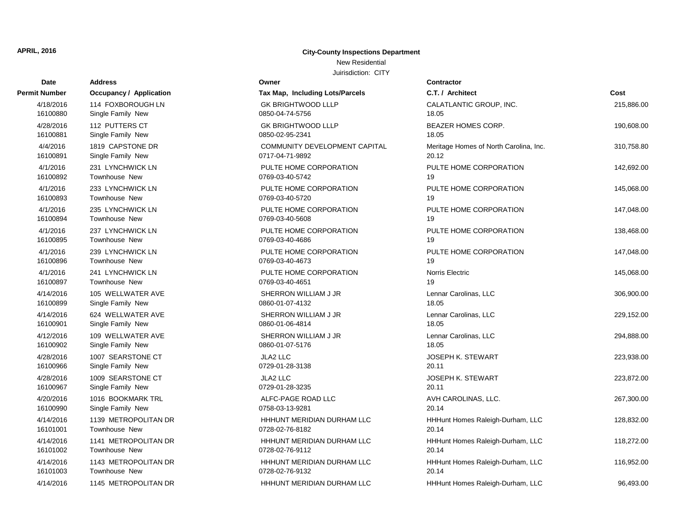## New Residential

| <b>Date</b>   | <b>Address</b>                 | Owner                           | Contractor                             |            |
|---------------|--------------------------------|---------------------------------|----------------------------------------|------------|
| Permit Number | <b>Occupancy / Application</b> | Tax Map, Including Lots/Parcels | C.T. / Architect                       | Cost       |
| 4/18/2016     | 114 FOXBOROUGH LN              | <b>GK BRIGHTWOOD LLLP</b>       | CALATLANTIC GROUP, INC.                | 215,886.00 |
| 16100880      | Single Family New              | 0850-04-74-5756                 | 18.05                                  |            |
| 4/28/2016     | 112 PUTTERS CT                 | <b>GK BRIGHTWOOD LLLP</b>       | <b>BEAZER HOMES CORP.</b>              | 190,608.00 |
| 16100881      | Single Family New              | 0850-02-95-2341                 | 18.05                                  |            |
| 4/4/2016      | 1819 CAPSTONE DR               | COMMUNITY DEVELOPMENT CAPITAL   | Meritage Homes of North Carolina, Inc. | 310,758.80 |
| 16100891      | Single Family New              | 0717-04-71-9892                 | 20.12                                  |            |
| 4/1/2016      | 231 LYNCHWICK LN               | PULTE HOME CORPORATION          | PULTE HOME CORPORATION                 | 142,692.00 |
| 16100892      | <b>Townhouse New</b>           | 0769-03-40-5742                 | 19                                     |            |
| 4/1/2016      | 233 LYNCHWICK LN               | PULTE HOME CORPORATION          | PULTE HOME CORPORATION                 | 145,068.00 |
| 16100893      | <b>Townhouse New</b>           | 0769-03-40-5720                 | 19                                     |            |
| 4/1/2016      | 235 LYNCHWICK LN               | PULTE HOME CORPORATION          | PULTE HOME CORPORATION                 | 147,048.00 |
| 16100894      | <b>Townhouse New</b>           | 0769-03-40-5608                 | 19                                     |            |
| 4/1/2016      | 237 LYNCHWICK LN               | PULTE HOME CORPORATION          | PULTE HOME CORPORATION                 | 138,468.00 |
| 16100895      | Townhouse New                  | 0769-03-40-4686                 | 19                                     |            |
| 4/1/2016      | 239 LYNCHWICK LN               | PULTE HOME CORPORATION          | PULTE HOME CORPORATION                 | 147,048.00 |
| 16100896      | <b>Townhouse New</b>           | 0769-03-40-4673                 | 19                                     |            |
| 4/1/2016      | 241 LYNCHWICK LN               | PULTE HOME CORPORATION          | Norris Electric                        | 145,068.00 |
| 16100897      | <b>Townhouse New</b>           | 0769-03-40-4651                 | 19                                     |            |
| 4/14/2016     | 105 WELLWATER AVE              | SHERRON WILLIAM J JR            | Lennar Carolinas, LLC                  | 306,900.00 |
| 16100899      | Single Family New              | 0860-01-07-4132                 | 18.05                                  |            |
| 4/14/2016     | 624 WELLWATER AVE              | SHERRON WILLIAM J JR            | Lennar Carolinas, LLC                  | 229,152.00 |
| 16100901      | Single Family New              | 0860-01-06-4814                 | 18.05                                  |            |
| 4/12/2016     | 109 WELLWATER AVE              | SHERRON WILLIAM J JR            | Lennar Carolinas, LLC                  | 294,888.00 |
| 16100902      | Single Family New              | 0860-01-07-5176                 | 18.05                                  |            |
| 4/28/2016     | 1007 SEARSTONE CT              | <b>JLA2 LLC</b>                 | <b>JOSEPH K. STEWART</b>               | 223,938.00 |
| 16100966      | Single Family New              | 0729-01-28-3138                 | 20.11                                  |            |
| 4/28/2016     | 1009 SEARSTONE CT              | <b>JLA2 LLC</b>                 | <b>JOSEPH K. STEWART</b>               | 223,872.00 |
| 16100967      | Single Family New              | 0729-01-28-3235                 | 20.11                                  |            |
| 4/20/2016     | 1016 BOOKMARK TRL              | ALFC-PAGE ROAD LLC              | AVH CAROLINAS, LLC.                    | 267,300.00 |
| 16100990      | Single Family New              | 0758-03-13-9281                 | 20.14                                  |            |
| 4/14/2016     | 1139 METROPOLITAN DR           | HHHUNT MERIDIAN DURHAM LLC      | HHHunt Homes Raleigh-Durham, LLC       | 128,832.00 |
| 16101001      | Townhouse New                  | 0728-02-76-8182                 | 20.14                                  |            |
| 4/14/2016     | 1141 METROPOLITAN DR           | HHHUNT MERIDIAN DURHAM LLC      | HHHunt Homes Raleigh-Durham, LLC       | 118,272.00 |
| 16101002      | Townhouse New                  | 0728-02-76-9112                 | 20.14                                  |            |
| 4/14/2016     | 1143 METROPOLITAN DR           | HHHUNT MERIDIAN DURHAM LLC      | HHHunt Homes Raleigh-Durham, LLC       | 116,952.00 |
| 16101003      | Townhouse New                  | 0728-02-76-9132                 | 20.14                                  |            |
| 4/14/2016     | 1145 METROPOLITAN DR           | HHHUNT MERIDIAN DURHAM LLC      | HHHunt Homes Raleigh-Durham, LLC       | 96,493.00  |

| rmit Number          | <b>Occupancy / Application</b>    |
|----------------------|-----------------------------------|
| 4/18/2016            | 114 FOXBOROUGH LN                 |
| 16100880             | Single Family New                 |
| 4/28/2016            | 112 PUTTERS CT                    |
| 16100881             | Single Family New                 |
| 4/4/2016             | 1819 CAPSTONE DR                  |
| 16100891             | Single Family New                 |
| 4/1/2016             | 231 LYNCHWICK LN                  |
| 16100892             | <b>Townhouse New</b>              |
| 4/1/2016             | 233 LYNCHWICK LN                  |
| 16100893             | Townhouse New                     |
| 4/1/2016             | 235 LYNCHWICK LN                  |
| 16100894             | Townhouse New                     |
| 4/1/2016             | 237 LYNCHWICK LN                  |
| 16100895             | Townhouse New                     |
| 4/1/2016<br>16100896 | 239 LYNCHWICK LN<br>Townhouse New |
|                      |                                   |
| 4/1/2016<br>16100897 | 241 LYNCHWICK LN<br>Townhouse New |
| 4/14/2016            | 105 WELLWATER AVE                 |
| 16100899             | Single Family New                 |
| 4/14/2016            | 624 WELLWATER AVE                 |
| 16100901             | Single Family New                 |
| 4/12/2016            | 109 WELLWATER AVE                 |
| 16100902             | Single Family New                 |
| 4/28/2016            | 1007 SEARSTONE CT                 |
| 16100966             | Single Family New                 |
| 4/28/2016            | 1009 SEARSTONE CT                 |
| 16100967             | Single Family New                 |
| 4/20/2016            | 1016 BOOKMARK TRL                 |
| 16100990             | Single Family New                 |
| 4/14/2016            | 1139 METROPOLITAN DR              |
| 16101001             | Townhouse New                     |
| 4/14/2016            | 1141 METROPOLITAN DR              |
| 16101002             | <b>Townhouse New</b>              |
| 4/14/2016            | 1143 METROPOLITAN DR              |
| 16101003             | Townhouse New                     |
| 4/14/2016            | 1145 METROPOLITAN DR              |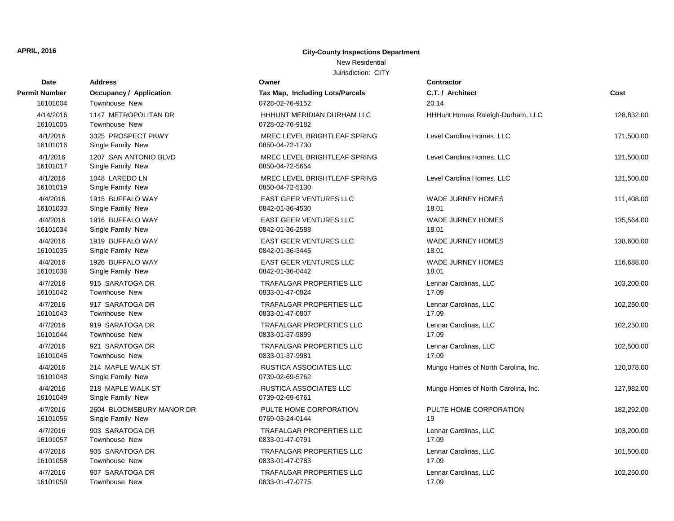### New Residential

| <b>Date</b>           | <b>Address</b>                             | Owner                                           | Contractor                          |            |
|-----------------------|--------------------------------------------|-------------------------------------------------|-------------------------------------|------------|
| Permit Number         | Occupancy / Application                    | Tax Map, Including Lots/Parcels                 | C.T. / Architect                    | Cost       |
| 16101004              | <b>Townhouse New</b>                       | 0728-02-76-9152                                 | 20.14                               |            |
| 4/14/2016<br>16101005 | 1147 METROPOLITAN DR<br>Townhouse New      | HHHUNT MERIDIAN DURHAM LLC<br>0728-02-76-9182   | HHHunt Homes Raleigh-Durham, LLC    | 128,832.00 |
| 4/1/2016<br>16101016  | 3325 PROSPECT PKWY<br>Single Family New    | MREC LEVEL BRIGHTLEAF SPRING<br>0850-04-72-1730 | Level Carolina Homes, LLC           | 171,500.00 |
| 4/1/2016<br>16101017  | 1207 SAN ANTONIO BLVD<br>Single Family New | MREC LEVEL BRIGHTLEAF SPRING<br>0850-04-72-5654 | Level Carolina Homes, LLC           | 121,500.00 |
| 4/1/2016<br>16101019  | 1048 LAREDO LN<br>Single Family New        | MREC LEVEL BRIGHTLEAF SPRING<br>0850-04-72-5130 | Level Carolina Homes, LLC           | 121,500.00 |
| 4/4/2016              | 1915 BUFFALO WAY                           | <b>EAST GEER VENTURES LLC</b>                   | WADE JURNEY HOMES                   | 111,408.00 |
| 16101033              | Single Family New                          | 0842-01-36-4530                                 | 18.01                               |            |
| 4/4/2016              | 1916 BUFFALO WAY                           | <b>EAST GEER VENTURES LLC</b>                   | <b>WADE JURNEY HOMES</b>            | 135,564.00 |
| 16101034              | Single Family New                          | 0842-01-36-2588                                 | 18.01                               |            |
| 4/4/2016              | 1919 BUFFALO WAY                           | <b>EAST GEER VENTURES LLC</b>                   | <b>WADE JURNEY HOMES</b>            | 138,600.00 |
| 16101035              | Single Family New                          | 0842-01-36-3445                                 | 18.01                               |            |
| 4/4/2016              | 1926 BUFFALO WAY                           | EAST GEER VENTURES LLC                          | WADE JURNEY HOMES                   | 116,688.00 |
| 16101036              | Single Family New                          | 0842-01-36-0442                                 | 18.01                               |            |
| 4/7/2016              | 915 SARATOGA DR                            | <b>TRAFALGAR PROPERTIES LLC</b>                 | Lennar Carolinas, LLC               | 103,200.00 |
| 16101042              | Townhouse New                              | 0833-01-47-0824                                 | 17.09                               |            |
| 4/7/2016              | 917 SARATOGA DR                            | <b>TRAFALGAR PROPERTIES LLC</b>                 | Lennar Carolinas, LLC               | 102,250.00 |
| 16101043              | Townhouse New                              | 0833-01-47-0807                                 | 17.09                               |            |
| 4/7/2016              | 919 SARATOGA DR                            | <b>TRAFALGAR PROPERTIES LLC</b>                 | Lennar Carolinas, LLC               | 102,250.00 |
| 16101044              | Townhouse New                              | 0833-01-37-9899                                 | 17.09                               |            |
| 4/7/2016              | 921 SARATOGA DR                            | TRAFALGAR PROPERTIES LLC                        | Lennar Carolinas, LLC               | 102,500.00 |
| 16101045              | Townhouse New                              | 0833-01-37-9981                                 | 17.09                               |            |
| 4/4/2016<br>16101048  | 214 MAPLE WALK ST<br>Single Family New     | RUSTICA ASSOCIATES LLC<br>0739-02-69-5762       | Mungo Homes of North Carolina, Inc. | 120,078.00 |
| 4/4/2016<br>16101049  | 218 MAPLE WALK ST<br>Single Family New     | RUSTICA ASSOCIATES LLC<br>0739-02-69-6761       | Mungo Homes of North Carolina, Inc. | 127,982.00 |
| 4/7/2016              | 2604 BLOOMSBURY MANOR DR                   | PULTE HOME CORPORATION                          | PULTE HOME CORPORATION              | 182,292.00 |
| 16101056              | Single Family New                          | 0769-03-24-0144                                 | 19                                  |            |
| 4/7/2016              | 903 SARATOGA DR                            | <b>TRAFALGAR PROPERTIES LLC</b>                 | Lennar Carolinas, LLC               | 103,200.00 |
| 16101057              | <b>Townhouse New</b>                       | 0833-01-47-0791                                 | 17.09                               |            |
| 4/7/2016              | 905 SARATOGA DR                            | <b>TRAFALGAR PROPERTIES LLC</b>                 | Lennar Carolinas, LLC               | 101,500.00 |
| 16101058              | Townhouse New                              | 0833-01-47-0783                                 | 17.09                               |            |
| 4/7/2016              | 907 SARATOGA DR                            | <b>TRAFALGAR PROPERTIES LLC</b>                 | Lennar Carolinas, LLC               | 102,250.00 |
| 16101059              | <b>Townhouse New</b>                       | 0833-01-47-0775                                 | 17.09                               |            |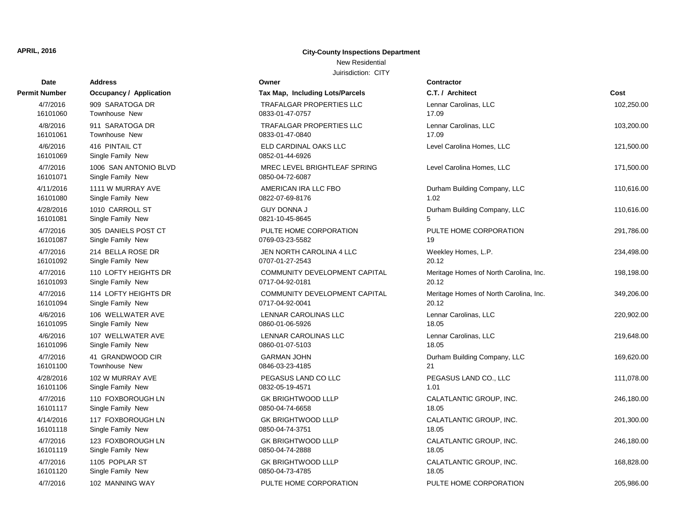## New Residential

| Date                 | <b>Address</b>                             | Owner                                           | <b>Contractor</b>                      |            |
|----------------------|--------------------------------------------|-------------------------------------------------|----------------------------------------|------------|
| Permit Number        | <b>Occupancy / Application</b>             | Tax Map, Including Lots/Parcels                 | C.T. / Architect                       | Cost       |
| 4/7/2016             | 909 SARATOGA DR                            | TRAFALGAR PROPERTIES LLC                        | Lennar Carolinas, LLC                  | 102,250.00 |
| 16101060             | <b>Townhouse New</b>                       | 0833-01-47-0757                                 | 17.09                                  |            |
| 4/8/2016             | 911 SARATOGA DR                            | TRAFALGAR PROPERTIES LLC                        | Lennar Carolinas, LLC                  | 103,200.00 |
| 16101061             | Townhouse New                              | 0833-01-47-0840                                 | 17.09                                  |            |
| 4/6/2016<br>16101069 | 416 PINTAIL CT<br>Single Family New        | ELD CARDINAL OAKS LLC<br>0852-01-44-6926        | Level Carolina Homes, LLC              | 121,500.00 |
| 4/7/2016<br>16101071 | 1006 SAN ANTONIO BLVD<br>Single Family New | MREC LEVEL BRIGHTLEAF SPRING<br>0850-04-72-6087 | Level Carolina Homes, LLC              | 171,500.00 |
| 4/11/2016            | 1111 W MURRAY AVE                          | AMERICAN IRA LLC FBO                            | Durham Building Company, LLC           | 110,616.00 |
| 16101080             | Single Family New                          | 0822-07-69-8176                                 | 1.02                                   |            |
| 4/28/2016            | 1010 CARROLL ST                            | <b>GUY DONNA J</b>                              | Durham Building Company, LLC           | 110,616.00 |
| 16101081             | Single Family New                          | 0821-10-45-8645                                 | 5                                      |            |
| 4/7/2016             | 305 DANIELS POST CT                        | PULTE HOME CORPORATION                          | PULTE HOME CORPORATION                 | 291,786.00 |
| 16101087             | Single Family New                          | 0769-03-23-5582                                 | 19                                     |            |
| 4/7/2016             | 214 BELLA ROSE DR                          | JEN NORTH CAROLINA 4 LLC                        | Weekley Homes, L.P.                    | 234,498.00 |
| 16101092             | Single Family New                          | 0707-01-27-2543                                 | 20.12                                  |            |
| 4/7/2016             | 110 LOFTY HEIGHTS DR                       | COMMUNITY DEVELOPMENT CAPITAL                   | Meritage Homes of North Carolina, Inc. | 198,198.00 |
| 16101093             | Single Family New                          | 0717-04-92-0181                                 | 20.12                                  |            |
| 4/7/2016             | 114 LOFTY HEIGHTS DR                       | COMMUNITY DEVELOPMENT CAPITAL                   | Meritage Homes of North Carolina, Inc. | 349,206.00 |
| 16101094             | Single Family New                          | 0717-04-92-0041                                 | 20.12                                  |            |
| 4/6/2016             | 106 WELLWATER AVE                          | LENNAR CAROLINAS LLC                            | Lennar Carolinas, LLC                  | 220,902.00 |
| 16101095             | Single Family New                          | 0860-01-06-5926                                 | 18.05                                  |            |
| 4/6/2016             | 107 WELLWATER AVE                          | LENNAR CAROLINAS LLC                            | Lennar Carolinas, LLC                  | 219,648.00 |
| 16101096             | Single Family New                          | 0860-01-07-5103                                 | 18.05                                  |            |
| 4/7/2016             | 41 GRANDWOOD CIR                           | <b>GARMAN JOHN</b>                              | Durham Building Company, LLC           | 169,620.00 |
| 16101100             | <b>Townhouse New</b>                       | 0846-03-23-4185                                 | 21                                     |            |
| 4/28/2016            | 102 W MURRAY AVE                           | PEGASUS LAND CO LLC                             | PEGASUS LAND CO., LLC                  | 111,078.00 |
| 16101106             | Single Family New                          | 0832-05-19-4571                                 | 1.01                                   |            |
| 4/7/2016             | 110 FOXBOROUGH LN                          | <b>GK BRIGHTWOOD LLLP</b>                       | CALATLANTIC GROUP, INC.                | 246,180.00 |
| 16101117             | Single Family New                          | 0850-04-74-6658                                 | 18.05                                  |            |
| 4/14/2016            | 117 FOXBOROUGH LN                          | <b>GK BRIGHTWOOD LLLP</b>                       | CALATLANTIC GROUP, INC.                | 201,300.00 |
| 16101118             | Single Family New                          | 0850-04-74-3751                                 | 18.05                                  |            |
| 4/7/2016             | 123 FOXBOROUGH LN                          | <b>GK BRIGHTWOOD LLLP</b>                       | CALATLANTIC GROUP, INC.                | 246,180.00 |
| 16101119             | Single Family New                          | 0850-04-74-2888                                 | 18.05                                  |            |
| 4/7/2016             | 1105 POPLAR ST                             | <b>GK BRIGHTWOOD LLLP</b>                       | CALATLANTIC GROUP, INC.                | 168,828.00 |
| 16101120             | Single Family New                          | 0850-04-73-4785                                 | 18.05                                  |            |
| 4/7/2016             | 102 MANNING WAY                            | PULTE HOME CORPORATION                          | PULTE HOME CORPORATION                 | 205,986.00 |

| rmit Number          | <b>Occupancy / Application</b>            |
|----------------------|-------------------------------------------|
| 4/7/2016             | 909 SARATOGA DR                           |
| 16101060             | <b>Townhouse New</b>                      |
| 4/8/2016             | 911 SARATOGA DR                           |
| 16101061             | <b>Townhouse New</b>                      |
| 4/6/2016             | 416 PINTAIL CT                            |
| 16101069             | Single Family New                         |
| 4/7/2016             | 1006 SAN ANTONIO BLVD                     |
| 16101071             | Single Family New                         |
| 4/11/2016            | 1111 W MURRAY AVE                         |
| 16101080             | Single Family New                         |
| 4/28/2016            | 1010 CARROLL ST                           |
| 16101081             | Single Family New                         |
| 4/7/2016             | 305 DANIELS POST CT                       |
| 16101087             | Single Family New                         |
| 4/7/2016             | 214 BELLA ROSE DR                         |
| 16101092             | Single Family New                         |
| 4/7/2016             | 110 LOFTY HEIGHTS DR                      |
| 16101093             | Single Family New                         |
| 4/7/2016<br>16101094 | 114 LOFTY HEIGHTS DR<br>Single Family New |
| 4/6/2016             | 106 WELLWATER AVE                         |
| 16101095             | Single Family New                         |
| 4/6/2016             | 107 WELLWATER AVE                         |
| 16101096             | Single Family New                         |
| 4/7/2016             | 41 GRANDWOOD CIR                          |
| 16101100             | Townhouse New                             |
| 4/28/2016            | 102 W MURRAY AVE                          |
| 16101106             | Single Family New                         |
| 4/7/2016             | 110 FOXBOROUGH LN                         |
| 16101117             | Single Family New                         |
| 4/14/2016            | 117 FOXBOROUGH LN                         |
| 16101118             | Single Family New                         |
| 4/7/2016             | 123 FOXBOROUGH LN                         |
| 16101119             | Single Family New                         |
| 4/7/2016             | 1105 POPLAR ST                            |
| 16101120             | Single Family New                         |
| 4/7/2016             | 102 MANNING WAY                           |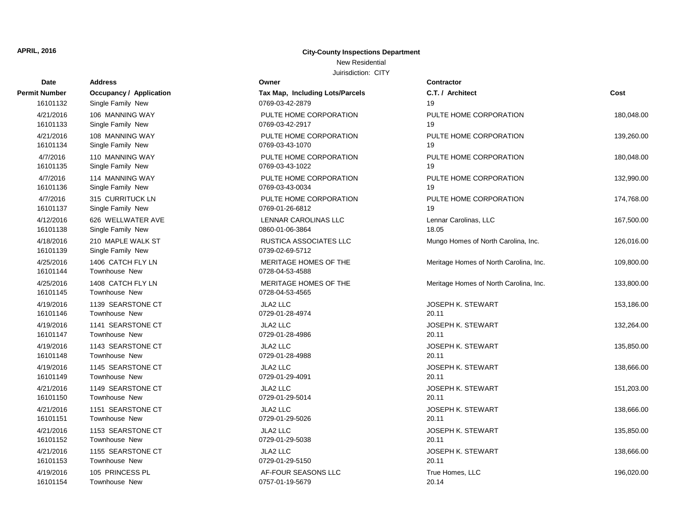## New Residential

| Date                  | <b>Address</b>                         | Owner                                            | Contractor                             |            |
|-----------------------|----------------------------------------|--------------------------------------------------|----------------------------------------|------------|
| Permit Number         | <b>Occupancy / Application</b>         | Tax Map, Including Lots/Parcels                  | C.T. / Architect                       | Cost       |
| 16101132              | Single Family New                      | 0769-03-42-2879                                  | 19                                     |            |
| 4/21/2016             | 106 MANNING WAY                        | PULTE HOME CORPORATION                           | PULTE HOME CORPORATION                 | 180,048.00 |
| 16101133              | Single Family New                      | 0769-03-42-2917                                  | 19                                     |            |
| 4/21/2016             | 108 MANNING WAY                        | PULTE HOME CORPORATION                           | PULTE HOME CORPORATION                 | 139,260.00 |
| 16101134              | Single Family New                      | 0769-03-43-1070                                  | 19                                     |            |
| 4/7/2016              | 110 MANNING WAY                        | PULTE HOME CORPORATION                           | PULTE HOME CORPORATION                 | 180,048.00 |
| 16101135              | Single Family New                      | 0769-03-43-1022                                  | 19                                     |            |
| 4/7/2016              | 114 MANNING WAY                        | PULTE HOME CORPORATION                           | PULTE HOME CORPORATION                 | 132,990.00 |
| 16101136              | Single Family New                      | 0769-03-43-0034                                  | 19                                     |            |
| 4/7/2016              | 315 CURRITUCK LN                       | PULTE HOME CORPORATION                           | PULTE HOME CORPORATION                 | 174,768.00 |
| 16101137              | Single Family New                      | 0769-01-26-6812                                  | 19                                     |            |
| 4/12/2016             | 626 WELLWATER AVE                      | LENNAR CAROLINAS LLC                             | Lennar Carolinas, LLC                  | 167,500.00 |
| 16101138              | Single Family New                      | 0860-01-06-3864                                  | 18.05                                  |            |
| 4/18/2016<br>16101139 | 210 MAPLE WALK ST<br>Single Family New | <b>RUSTICA ASSOCIATES LLC</b><br>0739-02-69-5712 | Mungo Homes of North Carolina, Inc.    | 126,016.00 |
| 4/25/2016<br>16101144 | 1406 CATCH FLY LN<br>Townhouse New     | MERITAGE HOMES OF THE<br>0728-04-53-4588         | Meritage Homes of North Carolina, Inc. | 109,800.00 |
| 4/25/2016<br>16101145 | 1408 CATCH FLY LN<br>Townhouse New     | MERITAGE HOMES OF THE<br>0728-04-53-4565         | Meritage Homes of North Carolina, Inc. | 133,800.00 |
| 4/19/2016             | 1139 SEARSTONE CT                      | <b>JLA2 LLC</b>                                  | JOSEPH K. STEWART                      | 153,186.00 |
| 16101146              | Townhouse New                          | 0729-01-28-4974                                  | 20.11                                  |            |
| 4/19/2016             | 1141 SEARSTONE CT                      | <b>JLA2 LLC</b>                                  | <b>JOSEPH K. STEWART</b>               | 132,264.00 |
| 16101147              | Townhouse New                          | 0729-01-28-4986                                  | 20.11                                  |            |
| 4/19/2016             | 1143 SEARSTONE CT                      | <b>JLA2 LLC</b>                                  | JOSEPH K. STEWART                      | 135,850.00 |
| 16101148              | Townhouse New                          | 0729-01-28-4988                                  | 20.11                                  |            |
| 4/19/2016             | 1145 SEARSTONE CT                      | JLA2 LLC                                         | <b>JOSEPH K. STEWART</b>               | 138,666.00 |
| 16101149              | Townhouse New                          | 0729-01-29-4091                                  | 20.11                                  |            |
| 4/21/2016             | 1149 SEARSTONE CT                      | <b>JLA2 LLC</b>                                  | <b>JOSEPH K. STEWART</b>               | 151,203.00 |
| 16101150              | Townhouse New                          | 0729-01-29-5014                                  | 20.11                                  |            |
| 4/21/2016             | 1151 SEARSTONE CT                      | <b>JLA2 LLC</b>                                  | <b>JOSEPH K. STEWART</b>               | 138,666.00 |
| 16101151              | Townhouse New                          | 0729-01-29-5026                                  | 20.11                                  |            |
| 4/21/2016             | 1153 SEARSTONE CT                      | JLA2 LLC                                         | <b>JOSEPH K. STEWART</b>               | 135,850.00 |
| 16101152              | Townhouse New                          | 0729-01-29-5038                                  | 20.11                                  |            |
| 4/21/2016             | 1155 SEARSTONE CT                      | JLA2 LLC                                         | <b>JOSEPH K. STEWART</b>               | 138,666.00 |
| 16101153              | <b>Townhouse New</b>                   | 0729-01-29-5150                                  | 20.11                                  |            |
| 4/19/2016             | 105 PRINCESS PL                        | AF-FOUR SEASONS LLC                              | True Homes, LLC                        | 196,020.00 |
| 16101154              | <b>Townhouse New</b>                   | 0757-01-19-5679                                  | 20.14                                  |            |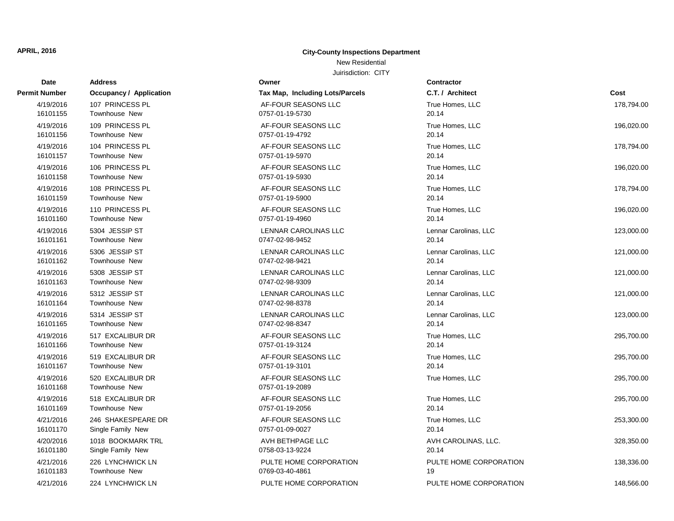## New Residential

| <b>Date</b>           | <b>Address</b>                           | Owner                                  | <b>Contractor</b>      |            |
|-----------------------|------------------------------------------|----------------------------------------|------------------------|------------|
| Permit Number         | <b>Occupancy / Application</b>           | Tax Map, Including Lots/Parcels        | C.T. / Architect       | Cost       |
| 4/19/2016             | 107 PRINCESS PL                          | AF-FOUR SEASONS LLC                    | True Homes, LLC        | 178,794.00 |
| 16101155              | <b>Townhouse New</b>                     | 0757-01-19-5730                        | 20.14                  |            |
| 4/19/2016             | 109 PRINCESS PL                          | AF-FOUR SEASONS LLC                    | True Homes, LLC        | 196,020.00 |
| 16101156              | <b>Townhouse New</b>                     | 0757-01-19-4792                        | 20.14                  |            |
| 4/19/2016             | 104 PRINCESS PL                          | AF-FOUR SEASONS LLC                    | True Homes, LLC        | 178,794.00 |
| 16101157              | <b>Townhouse New</b>                     | 0757-01-19-5970                        | 20.14                  |            |
| 4/19/2016             | 106 PRINCESS PL                          | AF-FOUR SEASONS LLC                    | True Homes, LLC        | 196,020.00 |
| 16101158              | <b>Townhouse New</b>                     | 0757-01-19-5930                        | 20.14                  |            |
| 4/19/2016             | 108 PRINCESS PL                          | AF-FOUR SEASONS LLC                    | True Homes, LLC        | 178,794.00 |
| 16101159              | <b>Townhouse New</b>                     | 0757-01-19-5900                        | 20.14                  |            |
| 4/19/2016             | 110 PRINCESS PL                          | AF-FOUR SEASONS LLC                    | True Homes, LLC        | 196,020.00 |
| 16101160              | <b>Townhouse New</b>                     | 0757-01-19-4960                        | 20.14                  |            |
| 4/19/2016             | 5304 JESSIP ST                           | LENNAR CAROLINAS LLC                   | Lennar Carolinas, LLC  | 123,000.00 |
| 16101161              | Townhouse New                            | 0747-02-98-9452                        | 20.14                  |            |
| 4/19/2016             | 5306 JESSIP ST                           | <b>LENNAR CAROLINAS LLC</b>            | Lennar Carolinas, LLC  | 121,000.00 |
| 16101162              | Townhouse New                            | 0747-02-98-9421                        | 20.14                  |            |
| 4/19/2016             | 5308 JESSIP ST                           | LENNAR CAROLINAS LLC                   | Lennar Carolinas, LLC  | 121,000.00 |
| 16101163              | Townhouse New                            | 0747-02-98-9309                        | 20.14                  |            |
| 4/19/2016             | 5312 JESSIP ST                           | LENNAR CAROLINAS LLC                   | Lennar Carolinas, LLC  | 121,000.00 |
| 16101164              | Townhouse New                            | 0747-02-98-8378                        | 20.14                  |            |
| 4/19/2016             | 5314 JESSIP ST                           | LENNAR CAROLINAS LLC                   | Lennar Carolinas, LLC  | 123,000.00 |
| 16101165              | <b>Townhouse New</b>                     | 0747-02-98-8347                        | 20.14                  |            |
| 4/19/2016             | 517 EXCALIBUR DR                         | AF-FOUR SEASONS LLC                    | True Homes, LLC        | 295,700.00 |
| 16101166              | <b>Townhouse New</b>                     | 0757-01-19-3124                        | 20.14                  |            |
| 4/19/2016             | 519 EXCALIBUR DR                         | AF-FOUR SEASONS LLC                    | True Homes, LLC        | 295,700.00 |
| 16101167              | <b>Townhouse New</b>                     | 0757-01-19-3101                        | 20.14                  |            |
| 4/19/2016<br>16101168 | 520 EXCALIBUR DR<br><b>Townhouse New</b> | AF-FOUR SEASONS LLC<br>0757-01-19-2089 | True Homes, LLC        | 295,700.00 |
| 4/19/2016             | 518 EXCALIBUR DR                         | AF-FOUR SEASONS LLC                    | True Homes, LLC        | 295,700.00 |
| 16101169              | <b>Townhouse New</b>                     | 0757-01-19-2056                        | 20.14                  |            |
| 4/21/2016             | 246 SHAKESPEARE DR                       | AF-FOUR SEASONS LLC                    | True Homes, LLC        | 253,300.00 |
| 16101170              | Single Family New                        | 0757-01-09-0027                        | 20.14                  |            |
| 4/20/2016             | 1018 BOOKMARK TRL                        | AVH BETHPAGE LLC                       | AVH CAROLINAS, LLC.    | 328,350.00 |
| 16101180              | Single Family New                        | 0758-03-13-9224                        | 20.14                  |            |
| 4/21/2016             | 226 LYNCHWICK LN                         | PULTE HOME CORPORATION                 | PULTE HOME CORPORATION | 138,336.00 |
| 16101183              | <b>Townhouse New</b>                     | 0769-03-40-4861                        | 19                     |            |
| 4/21/2016             | 224 LYNCHWICK LN                         | PULTE HOME CORPORATION                 | PULTE HOME CORPORATION | 148,566.00 |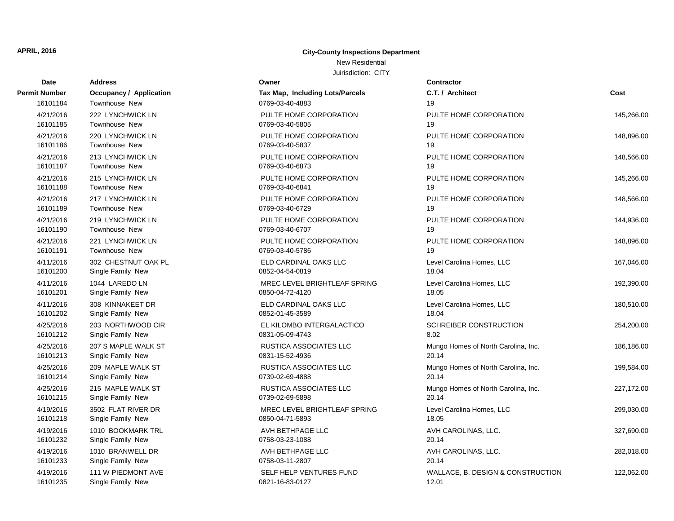## New Residential

| Date          | <b>Address</b>                 | Owner                           | <b>Contractor</b>                   |            |
|---------------|--------------------------------|---------------------------------|-------------------------------------|------------|
| Permit Number | <b>Occupancy / Application</b> | Tax Map, Including Lots/Parcels | C.T. / Architect                    | Cost       |
| 16101184      | Townhouse New                  | 0769-03-40-4883                 | 19                                  |            |
| 4/21/2016     | 222 LYNCHWICK LN               | PULTE HOME CORPORATION          | PULTE HOME CORPORATION              | 145,266.00 |
| 16101185      | Townhouse New                  | 0769-03-40-5805                 | 19                                  |            |
| 4/21/2016     | 220 LYNCHWICK LN               | PULTE HOME CORPORATION          | PULTE HOME CORPORATION              | 148,896.00 |
| 16101186      | <b>Townhouse New</b>           | 0769-03-40-5837                 | 19                                  |            |
| 4/21/2016     | 213 LYNCHWICK LN               | PULTE HOME CORPORATION          | PULTE HOME CORPORATION              | 148,566.00 |
| 16101187      | <b>Townhouse New</b>           | 0769-03-40-6873                 | 19                                  |            |
| 4/21/2016     | 215 LYNCHWICK LN               | PULTE HOME CORPORATION          | PULTE HOME CORPORATION              | 145,266.00 |
| 16101188      | <b>Townhouse New</b>           | 0769-03-40-6841                 | 19                                  |            |
| 4/21/2016     | 217 LYNCHWICK LN               | PULTE HOME CORPORATION          | PULTE HOME CORPORATION              | 148,566.00 |
| 16101189      | <b>Townhouse New</b>           | 0769-03-40-6729                 | 19                                  |            |
| 4/21/2016     | 219 LYNCHWICK LN               | PULTE HOME CORPORATION          | PULTE HOME CORPORATION              | 144,936.00 |
| 16101190      | <b>Townhouse New</b>           | 0769-03-40-6707                 | 19                                  |            |
| 4/21/2016     | 221 LYNCHWICK LN               | PULTE HOME CORPORATION          | PULTE HOME CORPORATION              | 148,896.00 |
| 16101191      | Townhouse New                  | 0769-03-40-5786                 | 19                                  |            |
| 4/11/2016     | 302 CHESTNUT OAK PL            | ELD CARDINAL OAKS LLC           | Level Carolina Homes, LLC           | 167,046.00 |
| 16101200      | Single Family New              | 0852-04-54-0819                 | 18.04                               |            |
| 4/11/2016     | 1044 LAREDO LN                 | MREC LEVEL BRIGHTLEAF SPRING    | Level Carolina Homes, LLC           | 192,390.00 |
| 16101201      | Single Family New              | 0850-04-72-4120                 | 18.05                               |            |
| 4/11/2016     | 308 KINNAKEET DR               | ELD CARDINAL OAKS LLC           | Level Carolina Homes, LLC           | 180,510.00 |
| 16101202      | Single Family New              | 0852-01-45-3589                 | 18.04                               |            |
| 4/25/2016     | 203 NORTHWOOD CIR              | EL KILOMBO INTERGALACTICO       | SCHREIBER CONSTRUCTION              | 254,200.00 |
| 16101212      | Single Family New              | 0831-05-09-4743                 | 8.02                                |            |
| 4/25/2016     | 207 S MAPLE WALK ST            | <b>RUSTICA ASSOCIATES LLC</b>   | Mungo Homes of North Carolina, Inc. | 186,186.00 |
| 16101213      | Single Family New              | 0831-15-52-4936                 | 20.14                               |            |
| 4/25/2016     | 209 MAPLE WALK ST              | <b>RUSTICA ASSOCIATES LLC</b>   | Mungo Homes of North Carolina, Inc. | 199,584.00 |
| 16101214      | Single Family New              | 0739-02-69-4888                 | 20.14                               |            |
| 4/25/2016     | 215 MAPLE WALK ST              | RUSTICA ASSOCIATES LLC          | Mungo Homes of North Carolina, Inc. | 227,172.00 |
| 16101215      | Single Family New              | 0739-02-69-5898                 | 20.14                               |            |
| 4/19/2016     | 3502 FLAT RIVER DR             | MREC LEVEL BRIGHTLEAF SPRING    | Level Carolina Homes, LLC           | 299,030.00 |
| 16101218      | Single Family New              | 0850-04-71-5893                 | 18.05                               |            |
| 4/19/2016     | 1010 BOOKMARK TRL              | AVH BETHPAGE LLC                | AVH CAROLINAS, LLC.                 | 327,690.00 |
| 16101232      | Single Family New              | 0758-03-23-1088                 | 20.14                               |            |
| 4/19/2016     | 1010 BRANWELL DR               | AVH BETHPAGE LLC                | AVH CAROLINAS, LLC.                 | 282,018.00 |
| 16101233      | Single Family New              | 0758-03-11-2807                 | 20.14                               |            |
| 4/19/2016     | 111 W PIEDMONT AVE             | SELF HELP VENTURES FUND         | WALLACE, B. DESIGN & CONSTRUCTION   | 122,062.00 |
| 16101235      | Single Family New              | 0821-16-83-0127                 | 12.01                               |            |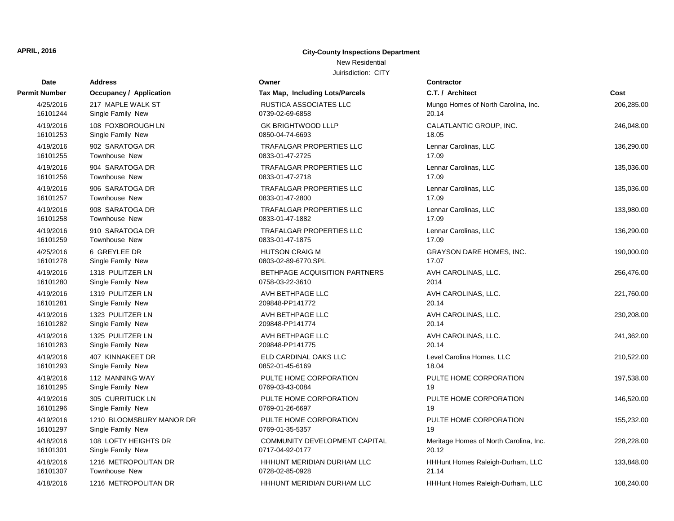## New Residential

| Date          | <b>Address</b>                 | Owner                           | <b>Contractor</b>                      |            |
|---------------|--------------------------------|---------------------------------|----------------------------------------|------------|
| Permit Number | <b>Occupancy / Application</b> | Tax Map, Including Lots/Parcels | C.T. / Architect                       | Cost       |
| 4/25/2016     | 217 MAPLE WALK ST              | <b>RUSTICA ASSOCIATES LLC</b>   | Mungo Homes of North Carolina, Inc.    | 206,285.00 |
| 16101244      | Single Family New              | 0739-02-69-6858                 | 20.14                                  |            |
| 4/19/2016     | 108 FOXBOROUGH LN              | <b>GK BRIGHTWOOD LLLP</b>       | CALATLANTIC GROUP, INC.                | 246,048.00 |
| 16101253      | Single Family New              | 0850-04-74-6693                 | 18.05                                  |            |
| 4/19/2016     | 902 SARATOGA DR                | <b>TRAFALGAR PROPERTIES LLC</b> | Lennar Carolinas, LLC                  | 136,290.00 |
| 16101255      | <b>Townhouse New</b>           | 0833-01-47-2725                 | 17.09                                  |            |
| 4/19/2016     | 904 SARATOGA DR                | <b>TRAFALGAR PROPERTIES LLC</b> | Lennar Carolinas, LLC                  | 135,036.00 |
| 16101256      | <b>Townhouse New</b>           | 0833-01-47-2718                 | 17.09                                  |            |
| 4/19/2016     | 906 SARATOGA DR                | TRAFALGAR PROPERTIES LLC        | Lennar Carolinas, LLC                  | 135,036.00 |
| 16101257      | <b>Townhouse New</b>           | 0833-01-47-2800                 | 17.09                                  |            |
| 4/19/2016     | 908 SARATOGA DR                | <b>TRAFALGAR PROPERTIES LLC</b> | Lennar Carolinas, LLC                  | 133,980.00 |
| 16101258      | <b>Townhouse New</b>           | 0833-01-47-1882                 | 17.09                                  |            |
| 4/19/2016     | 910 SARATOGA DR                | <b>TRAFALGAR PROPERTIES LLC</b> | Lennar Carolinas, LLC                  | 136,290.00 |
| 16101259      | <b>Townhouse New</b>           | 0833-01-47-1875                 | 17.09                                  |            |
| 4/25/2016     | 6 GREYLEE DR                   | <b>HUTSON CRAIG M</b>           | <b>GRAYSON DARE HOMES, INC.</b>        | 190,000.00 |
| 16101278      | Single Family New              | 0803-02-89-6770.SPL             | 17.07                                  |            |
| 4/19/2016     | 1318 PULITZER LN               | BETHPAGE ACQUISITION PARTNERS   | AVH CAROLINAS, LLC.                    | 256,476.00 |
| 16101280      | Single Family New              | 0758-03-22-3610                 | 2014                                   |            |
| 4/19/2016     | 1319 PULITZER LN               | AVH BETHPAGE LLC                | AVH CAROLINAS, LLC.                    | 221,760.00 |
| 16101281      | Single Family New              | 209848-PP141772                 | 20.14                                  |            |
| 4/19/2016     | 1323 PULITZER LN               | AVH BETHPAGE LLC                | AVH CAROLINAS, LLC.                    | 230,208.00 |
| 16101282      | Single Family New              | 209848-PP141774                 | 20.14                                  |            |
| 4/19/2016     | 1325 PULITZER LN               | AVH BETHPAGE LLC                | AVH CAROLINAS, LLC.                    | 241,362.00 |
| 16101283      | Single Family New              | 209848-PP141775                 | 20.14                                  |            |
| 4/19/2016     | 407 KINNAKEET DR               | ELD CARDINAL OAKS LLC           | Level Carolina Homes, LLC              | 210,522.00 |
| 16101293      | Single Family New              | 0852-01-45-6169                 | 18.04                                  |            |
| 4/19/2016     | 112 MANNING WAY                | PULTE HOME CORPORATION          | PULTE HOME CORPORATION                 | 197,538.00 |
| 16101295      | Single Family New              | 0769-03-43-0084                 | 19                                     |            |
| 4/19/2016     | 305 CURRITUCK LN               | PULTE HOME CORPORATION          | PULTE HOME CORPORATION                 | 146,520.00 |
| 16101296      | Single Family New              | 0769-01-26-6697                 | 19                                     |            |
| 4/19/2016     | 1210 BLOOMSBURY MANOR DR       | PULTE HOME CORPORATION          | PULTE HOME CORPORATION                 | 155,232.00 |
| 16101297      | Single Family New              | 0769-01-35-5357                 | 19                                     |            |
| 4/18/2016     | 108 LOFTY HEIGHTS DR           | COMMUNITY DEVELOPMENT CAPITAL   | Meritage Homes of North Carolina, Inc. | 228,228.00 |
| 16101301      | Single Family New              | 0717-04-92-0177                 | 20.12                                  |            |
| 4/18/2016     | 1216 METROPOLITAN DR           | HHHUNT MERIDIAN DURHAM LLC      | HHHunt Homes Raleigh-Durham, LLC       | 133,848.00 |
| 16101307      | <b>Townhouse New</b>           | 0728-02-85-0928                 | 21.14                                  |            |
| 4/18/2016     | 1216 METROPOLITAN DR           | HHHUNT MERIDIAN DURHAM LLC      | HHHunt Homes Raleigh-Durham, LLC       | 108,240.00 |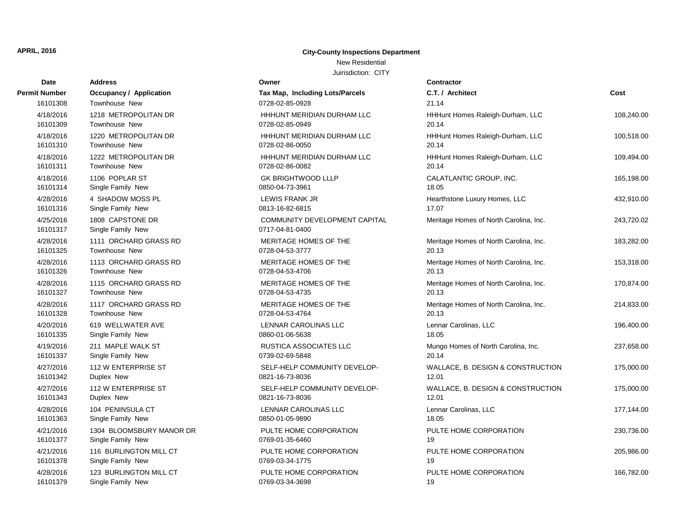#### New Residential

| Date                  | <b>Address</b>                        | Owner                                            | Contractor                             |            |
|-----------------------|---------------------------------------|--------------------------------------------------|----------------------------------------|------------|
| Permit Number         | Occupancy / Application               | Tax Map, Including Lots/Parcels                  | C.T. / Architect                       | Cost       |
| 16101308              | Townhouse New                         | 0728-02-85-0928                                  | 21.14                                  |            |
| 4/18/2016             | 1218 METROPOLITAN DR                  | HHHUNT MERIDIAN DURHAM LLC                       | HHHunt Homes Raleigh-Durham, LLC       | 108,240.00 |
| 16101309              | Townhouse New                         | 0728-02-85-0949                                  | 20.14                                  |            |
| 4/18/2016             | 1220 METROPOLITAN DR                  | HHHUNT MERIDIAN DURHAM LLC                       | HHHunt Homes Raleigh-Durham, LLC       | 100,518.00 |
| 16101310              | Townhouse New                         | 0728-02-86-0050                                  | 20.14                                  |            |
| 4/18/2016             | 1222 METROPOLITAN DR                  | HHHUNT MERIDIAN DURHAM LLC                       | HHHunt Homes Raleigh-Durham, LLC       | 109,494.00 |
| 16101311              | Townhouse New                         | 0728-02-86-0082                                  | 20.14                                  |            |
| 4/18/2016             | 1106 POPLAR ST                        | <b>GK BRIGHTWOOD LLLP</b>                        | CALATLANTIC GROUP, INC.                | 165,198.00 |
| 16101314              | Single Family New                     | 0850-04-73-3961                                  | 18.05                                  |            |
| 4/28/2016             | 4 SHADOW MOSS PL                      | <b>LEWIS FRANK JR</b>                            | Hearthstone Luxury Homes, LLC          | 432,910.00 |
| 16101316              | Single Family New                     | 0813-16-82-6815                                  | 17.07                                  |            |
| 4/25/2016<br>16101317 | 1808 CAPSTONE DR<br>Single Family New | COMMUNITY DEVELOPMENT CAPITAL<br>0717-04-81-0400 | Meritage Homes of North Carolina, Inc. | 243,720.02 |
| 4/28/2016             | 1111 ORCHARD GRASS RD                 | MERITAGE HOMES OF THE                            | Meritage Homes of North Carolina, Inc. | 183,282.00 |
| 16101325              | Townhouse New                         | 0728-04-53-3777                                  | 20.13                                  |            |
| 4/28/2016             | 1113 ORCHARD GRASS RD                 | MERITAGE HOMES OF THE                            | Meritage Homes of North Carolina, Inc. | 153,318.00 |
| 16101326              | Townhouse New                         | 0728-04-53-4706                                  | 20.13                                  |            |
| 4/28/2016             | 1115 ORCHARD GRASS RD                 | MERITAGE HOMES OF THE                            | Meritage Homes of North Carolina, Inc. | 170,874.00 |
| 16101327              | Townhouse New                         | 0728-04-53-4735                                  | 20.13                                  |            |
| 4/28/2016             | 1117 ORCHARD GRASS RD                 | MERITAGE HOMES OF THE                            | Meritage Homes of North Carolina, Inc. | 214,833.00 |
| 16101328              | Townhouse New                         | 0728-04-53-4764                                  | 20.13                                  |            |
| 4/20/2016             | 619 WELLWATER AVE                     | LENNAR CAROLINAS LLC                             | Lennar Carolinas, LLC                  | 196,400.00 |
| 16101335              | Single Family New                     | 0860-01-06-5638                                  | 18.05                                  |            |
| 4/19/2016             | 211 MAPLE WALK ST                     | RUSTICA ASSOCIATES LLC                           | Mungo Homes of North Carolina, Inc.    | 237,658.00 |
| 16101337              | Single Family New                     | 0739-02-69-5848                                  | 20.14                                  |            |
| 4/27/2016             | 112 W ENTERPRISE ST                   | SELF-HELP COMMUNITY DEVELOP-                     | WALLACE, B. DESIGN & CONSTRUCTION      | 175,000.00 |
| 16101342              | Duplex New                            | 0821-16-73-8036                                  | 12.01                                  |            |
| 4/27/2016             | 112 W ENTERPRISE ST                   | SELF-HELP COMMUNITY DEVELOP-                     | WALLACE, B. DESIGN & CONSTRUCTION      | 175,000.00 |
| 16101343              | Duplex New                            | 0821-16-73-8036                                  | 12.01                                  |            |
| 4/28/2016             | 104 PENINSULA CT                      | LENNAR CAROLINAS LLC                             | Lennar Carolinas, LLC                  | 177,144.00 |
| 16101363              | Single Family New                     | 0850-01-05-9890                                  | 18.05                                  |            |
| 4/21/2016             | 1304 BLOOMSBURY MANOR DR              | PULTE HOME CORPORATION                           | PULTE HOME CORPORATION                 | 230,736.00 |
| 16101377              | Single Family New                     | 0769-01-35-6460                                  | 19                                     |            |
| 4/21/2016             | 116 BURLINGTON MILL CT                | PULTE HOME CORPORATION                           | PULTE HOME CORPORATION                 | 205,986.00 |
| 16101378              | Single Family New                     | 0769-03-34-1775                                  | 19                                     |            |
| 4/28/2016             | 123 BURLINGTON MILL CT                | PULTE HOME CORPORATION                           | PULTE HOME CORPORATION                 | 166,782.00 |
| 16101379              | Single Family New                     | 0769-03-34-3698                                  | 19                                     |            |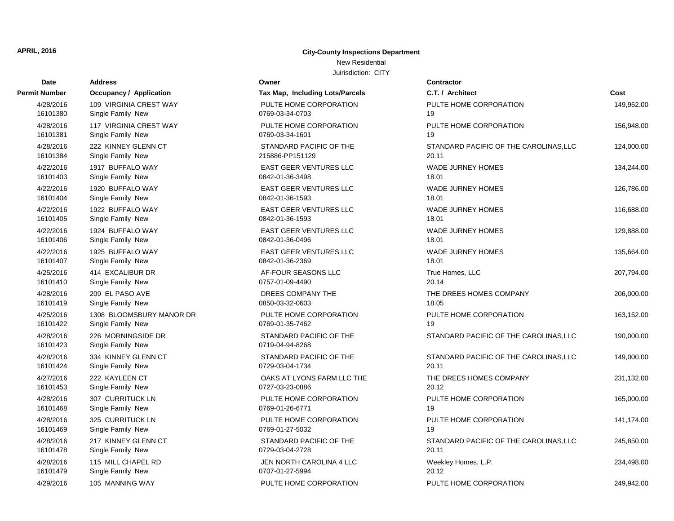# New Residential

| <b>Date</b> | <b>Address</b>                 | Owner                           | Contractor       |
|-------------|--------------------------------|---------------------------------|------------------|
| nit Number  | <b>Occupancy / Application</b> | Tax Map, Including Lots/Parcels | C.T. / Arch      |
| 4/28/2016   | 109 VIRGINIA CREST WAY         | PULTE HOME CORPORATION          | PULTE HO         |
| 16101380    | Single Family New              | 0769-03-34-0703                 | 19               |
| 4/28/2016   | 117 VIRGINIA CREST WAY         | PULTE HOME CORPORATION          | PULTE HO         |
| 16101381    | Single Family New              | 0769-03-34-1601                 | 19               |
| 4/28/2016   | 222 KINNEY GLENN CT            | STANDARD PACIFIC OF THE         | STANDARI         |
| 16101384    | Single Family New              | 215886-PP151129                 | 20.11            |
| 4/22/2016   | 1917 BUFFALO WAY               | EAST GEER VENTURES LLC          | <b>WADE JUF</b>  |
| 16101403    | Single Family New              | 0842-01-36-3498                 | 18.01            |
| 4/22/2016   | 1920 BUFFALO WAY               | <b>EAST GEER VENTURES LLC</b>   | <b>WADE JUF</b>  |
| 16101404    | Single Family New              | 0842-01-36-1593                 | 18.01            |
| 4/22/2016   | 1922 BUFFALO WAY               | <b>EAST GEER VENTURES LLC</b>   | <b>WADE JUF</b>  |
| 16101405    | Single Family New              | 0842-01-36-1593                 | 18.01            |
| 4/22/2016   | 1924 BUFFALO WAY               | <b>EAST GEER VENTURES LLC</b>   | <b>WADE JUF</b>  |
| 16101406    | Single Family New              | 0842-01-36-0496                 | 18.01            |
| 4/22/2016   | 1925 BUFFALO WAY               | <b>EAST GEER VENTURES LLC</b>   | <b>WADE JUF</b>  |
| 16101407    | Single Family New              | 0842-01-36-2369                 | 18.01            |
| 4/25/2016   | 414 EXCALIBUR DR               | AF-FOUR SEASONS LLC             | <b>True Home</b> |
| 16101410    | Single Family New              | 0757-01-09-4490                 | 20.14            |
| 4/28/2016   | 209 EL PASO AVE                | DREES COMPANY THE               | THE DREE         |
| 16101419    | Single Family New              | 0850-03-32-0603                 | 18.05            |
| 4/25/2016   | 1308 BLOOMSBURY MANOR DR       | PULTE HOME CORPORATION          | PULTE HO         |
| 16101422    | Single Family New              | 0769-01-35-7462                 | 19               |
| 4/28/2016   | 226 MORNINGSIDE DR             | STANDARD PACIFIC OF THE         | <b>STANDARI</b>  |
| 16101423    | Single Family New              | 0719-04-94-8268                 |                  |
| 4/28/2016   | 334 KINNEY GLENN CT            | STANDARD PACIFIC OF THE         | <b>STANDARI</b>  |
| 16101424    | Single Family New              | 0729-03-04-1734                 | 20.11            |
| 4/27/2016   | 222 KAYLEEN CT                 | OAKS AT LYONS FARM LLC THE      | THE DREE         |
| 16101453    | Single Family New              | 0727-03-23-0886                 | 20.12            |
| 4/28/2016   | 307 CURRITUCK LN               | PULTE HOME CORPORATION          | PULTE HO         |
| 16101468    | Single Family New              | 0769-01-26-6771                 | 19               |
| 4/28/2016   | 325 CURRITUCK LN               | PULTE HOME CORPORATION          | PULTE HO         |
| 16101469    | Single Family New              | 0769-01-27-5032                 | 19               |
| 4/28/2016   | 217 KINNEY GLENN CT            | STANDARD PACIFIC OF THE         | <b>STANDARI</b>  |
| 16101478    | Single Family New              | 0729-03-04-2728                 | 20.11            |
| 4/28/2016   | 115 MILL CHAPEL RD             | JEN NORTH CAROLINA 4 LLC        | Weekley H        |
| 16101479    | Single Family New              | 0707-01-27-5994                 | 20.12            |
| 4/29/2016   | 105 MANNING WAY                | PULTE HOME CORPORATION          | PULTE HO         |

| Owner                                            |  |  |  |  |
|--------------------------------------------------|--|--|--|--|
| <b>Tax Map, Including Lots/Parcels</b>           |  |  |  |  |
| PULTE HOME CORPORATION<br>0769-03-34-0703        |  |  |  |  |
| PULTE HOME CORPORATION<br>0769-03-34-1601        |  |  |  |  |
| STANDARD PACIFIC OF THE<br>215886-PP151129       |  |  |  |  |
| EAST GEER VENTURES LLC<br>0842-01-36-3498        |  |  |  |  |
| <b>EAST GEER VENTURES LLC</b><br>0842-01-36-1593 |  |  |  |  |
| <b>EAST GEER VENTURES LLC</b><br>0842-01-36-1593 |  |  |  |  |
| <b>EAST GEER VENTURES LLC</b><br>0842-01-36-0496 |  |  |  |  |
| <b>EAST GEER VENTURES LLC</b><br>0842-01-36-2369 |  |  |  |  |
| AF-FOUR SEASONS LLC<br>0757-01-09-4490           |  |  |  |  |
| DREES COMPANY THE<br>0850-03-32-0603             |  |  |  |  |
| PULTE HOME CORPORATION<br>0769-01-35-7462        |  |  |  |  |
| STANDARD PACIFIC OF THE<br>0719-04-94-8268       |  |  |  |  |
| STANDARD PACIFIC OF THE<br>0729-03-04-1734       |  |  |  |  |
| OAKS AT LYONS FARM LLC THE<br>0727-03-23-0886    |  |  |  |  |
| PULTE HOME CORPORATION<br>0769-01-26-6771        |  |  |  |  |
| PULTE HOME CORPORATION<br>0769-01-27-5032        |  |  |  |  |
| STANDARD PACIFIC OF THE<br>0729-03-04-2728       |  |  |  |  |
| JEN NORTH CAROLINA 4 LLC<br>0707-01-27-5994      |  |  |  |  |
| PULTE HOME CORPORATION                           |  |  |  |  |

| Permit Number | <b>Occupancy / Application</b> | Tax Map, Including Lots/Parcels | C.T. / Architect                       | Cost       |
|---------------|--------------------------------|---------------------------------|----------------------------------------|------------|
| 4/28/2016     | 109 VIRGINIA CREST WAY         | PULTE HOME CORPORATION          | PULTE HOME CORPORATION                 | 149,952.00 |
| 16101380      | Single Family New              | 0769-03-34-0703                 | 19                                     |            |
| 4/28/2016     | 117 VIRGINIA CREST WAY         | PULTE HOME CORPORATION          | PULTE HOME CORPORATION                 | 156,948.00 |
| 16101381      | Single Family New              | 0769-03-34-1601                 | 19                                     |            |
| 4/28/2016     | 222 KINNEY GLENN CT            | STANDARD PACIFIC OF THE         | STANDARD PACIFIC OF THE CAROLINAS, LLC | 124,000.00 |
| 16101384      | Single Family New              | 215886-PP151129                 | 20.11                                  |            |
| 4/22/2016     | 1917 BUFFALO WAY               | <b>EAST GEER VENTURES LLC</b>   | WADE JURNEY HOMES                      | 134,244.00 |
| 16101403      | Single Family New              | 0842-01-36-3498                 | 18.01                                  |            |
| 4/22/2016     | 1920 BUFFALO WAY               | EAST GEER VENTURES LLC          | <b>WADE JURNEY HOMES</b>               | 126,786.00 |
| 16101404      | Single Family New              | 0842-01-36-1593                 | 18.01                                  |            |
| 4/22/2016     | 1922 BUFFALO WAY               | <b>EAST GEER VENTURES LLC</b>   | <b>WADE JURNEY HOMES</b>               | 116,688.00 |
| 16101405      | Single Family New              | 0842-01-36-1593                 | 18.01                                  |            |
| 4/22/2016     | 1924 BUFFALO WAY               | EAST GEER VENTURES LLC          | <b>WADE JURNEY HOMES</b>               | 129,888.00 |
| 16101406      | Single Family New              | 0842-01-36-0496                 | 18.01                                  |            |
| 4/22/2016     | 1925 BUFFALO WAY               | <b>EAST GEER VENTURES LLC</b>   | <b>WADE JURNEY HOMES</b>               | 135,664.00 |
| 16101407      | Single Family New              | 0842-01-36-2369                 | 18.01                                  |            |
| 4/25/2016     | 414 EXCALIBUR DR               | AF-FOUR SEASONS LLC             | True Homes, LLC                        | 207,794.00 |
| 16101410      | Single Family New              | 0757-01-09-4490                 | 20.14                                  |            |
| 4/28/2016     | 209 EL PASO AVE                | DREES COMPANY THE               | THE DREES HOMES COMPANY                | 206,000.00 |
| 16101419      | Single Family New              | 0850-03-32-0603                 | 18.05                                  |            |
| 4/25/2016     | 1308 BLOOMSBURY MANOR DR       | PULTE HOME CORPORATION          | PULTE HOME CORPORATION                 | 163,152.00 |
| 16101422      | Single Family New              | 0769-01-35-7462                 | 19                                     |            |
| 4/28/2016     | 226 MORNINGSIDE DR             | STANDARD PACIFIC OF THE         | STANDARD PACIFIC OF THE CAROLINAS, LLC | 190,000.00 |
| 16101423      | Single Family New              | 0719-04-94-8268                 |                                        |            |
| 4/28/2016     | 334 KINNEY GLENN CT            | STANDARD PACIFIC OF THE         | STANDARD PACIFIC OF THE CAROLINAS, LLC | 149,000.00 |
| 16101424      | Single Family New              | 0729-03-04-1734                 | 20.11                                  |            |
| 4/27/2016     | 222 KAYLEEN CT                 | OAKS AT LYONS FARM LLC THE      | THE DREES HOMES COMPANY                | 231,132.00 |
| 16101453      | Single Family New              | 0727-03-23-0886                 | 20.12                                  |            |
| 4/28/2016     | 307 CURRITUCK LN               | PULTE HOME CORPORATION          | PULTE HOME CORPORATION                 | 165,000.00 |
| 16101468      | Single Family New              | 0769-01-26-6771                 | 19                                     |            |
| 4/28/2016     | 325 CURRITUCK LN               | PULTE HOME CORPORATION          | PULTE HOME CORPORATION                 | 141,174.00 |
| 16101469      | Single Family New              | 0769-01-27-5032                 | 19                                     |            |
| 4/28/2016     | 217 KINNEY GLENN CT            | STANDARD PACIFIC OF THE         | STANDARD PACIFIC OF THE CAROLINAS, LLC | 245,850.00 |
| 16101478      | Single Family New              | 0729-03-04-2728                 | 20.11                                  |            |
| 4/28/2016     | 115 MILL CHAPEL RD             | JEN NORTH CAROLINA 4 LLC        | Weekley Homes, L.P.                    | 234,498.00 |
| 16101479      | Single Family New              | 0707-01-27-5994                 | 20.12                                  |            |
| 4/29/2016     | 105 MANNING WAY                | PULTE HOME CORPORATION          | PULTE HOME CORPORATION                 | 249,942.00 |